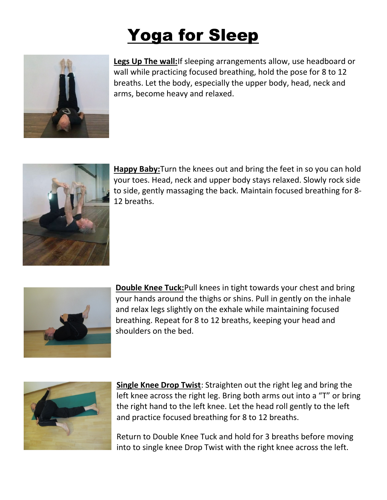## **Yoga for Sleep**



Legs Up The wall: If sleeping arrangements allow, use headboard or wall while practicing focused breathing, hold the pose for 8 to 12 breaths. Let the body, especially the upper body, head, neck and arms, become heavy and relaxed.



Happy Baby: Turn the knees out and bring the feet in so you can hold your toes. Head, neck and upper body stays relaxed. Slowly rock side to side, gently massaging the back. Maintain focused breathing for 8- 12 breaths.



**Double Knee Tuck:**Pull knees in tight towards your chest and bring your hands around the thighs or shins. Pull in gently on the inhale and relax legs slightly on the exhale while maintaining focused breathing. Repeat for 8 to 12 breaths, keeping your head and shoulders on the bed.



Single Knee Drop Twist: Straighten out the right leg and bring the left knee across the right leg. Bring both arms out into a "T" or bring the right hand to the left knee. Let the head roll gently to the left and practice focused breathing for 8 to 12 breaths.

Return to Double Knee Tuck and hold for 3 breaths before moving into to single knee Drop Twist with the right knee across the left.